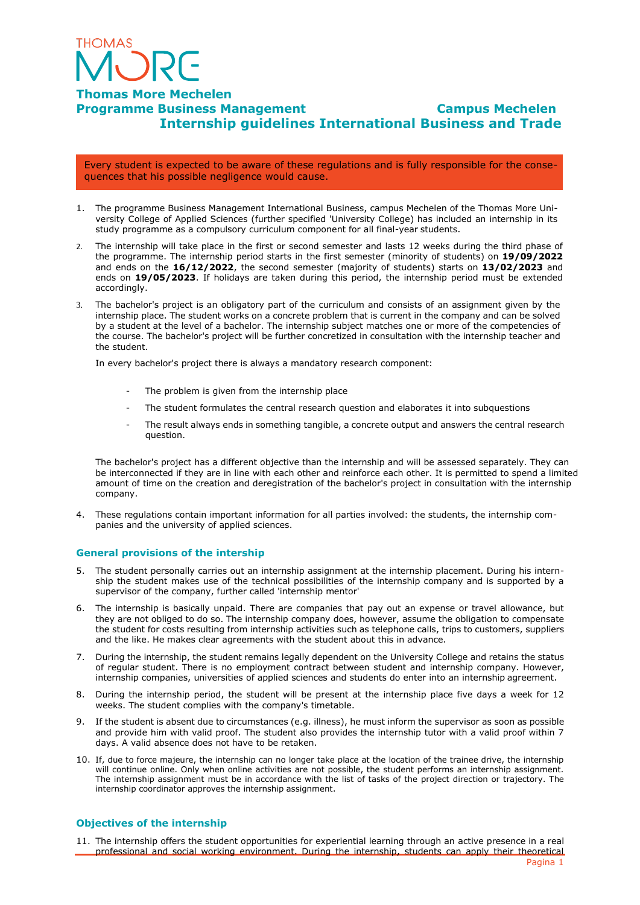

# **Thomas More Mechelen Programme Business Management Campus Mechelen Internship guidelines International Business and Trade**

Every student is expected to be aware of these regulations and is fully responsible for the consequences that his possible negligence would cause.

- 1. The programme Business Management International Business, campus Mechelen of the Thomas More University College of Applied Sciences (further specified 'University College) has included an internship in its study programme as a compulsory curriculum component for all final-year students.
- 2. The internship will take place in the first or second semester and lasts 12 weeks during the third phase of the programme. The internship period starts in the first semester (minority of students) on **19/09/2022**  and ends on the **16/12/2022**, the second semester (majority of students) starts on **13/02/2023** and ends on **19/05/2023**. If holidays are taken during this period, the internship period must be extended accordingly.
- 3. The bachelor's project is an obligatory part of the curriculum and consists of an assignment given by the internship place. The student works on a concrete problem that is current in the company and can be solved by a student at the level of a bachelor. The internship subject matches one or more of the competencies of the course. The bachelor's project will be further concretized in consultation with the internship teacher and the student.

In every bachelor's project there is always a mandatory research component:

- The problem is given from the internship place
- The student formulates the central research question and elaborates it into subquestions
- The result always ends in something tangible, a concrete output and answers the central research question.

The bachelor's project has a different objective than the internship and will be assessed separately. They can be interconnected if they are in line with each other and reinforce each other. It is permitted to spend a limited amount of time on the creation and deregistration of the bachelor's project in consultation with the internship company.

4. These regulations contain important information for all parties involved: the students, the internship companies and the university of applied sciences.

#### **General provisions of the intership**

- 5. The student personally carries out an internship assignment at the internship placement. During his internship the student makes use of the technical possibilities of the internship company and is supported by a supervisor of the company, further called 'internship mentor'
- 6. The internship is basically unpaid. There are companies that pay out an expense or travel allowance, but they are not obliged to do so. The internship company does, however, assume the obligation to compensate the student for costs resulting from internship activities such as telephone calls, trips to customers, suppliers and the like. He makes clear agreements with the student about this in advance.
- 7. During the internship, the student remains legally dependent on the University College and retains the status of regular student. There is no employment contract between student and internship company. However, internship companies, universities of applied sciences and students do enter into an internship agreement.
- 8. During the internship period, the student will be present at the internship place five days a week for 12 weeks. The student complies with the company's timetable.
- 9. If the student is absent due to circumstances (e.g. illness), he must inform the supervisor as soon as possible and provide him with valid proof. The student also provides the internship tutor with a valid proof within 7 days. A valid absence does not have to be retaken.
- 10. If, due to force majeure, the internship can no longer take place at the location of the trainee drive, the internship will continue online. Only when online activities are not possible, the student performs an internship assignment. The internship assignment must be in accordance with the list of tasks of the project direction or trajectory. The internship coordinator approves the internship assignment.

#### **Objectives of the internship**

11. The internship offers the student opportunities for experiential learning through an active presence in a real professional and social working environment. During the internship, students can apply their theoretical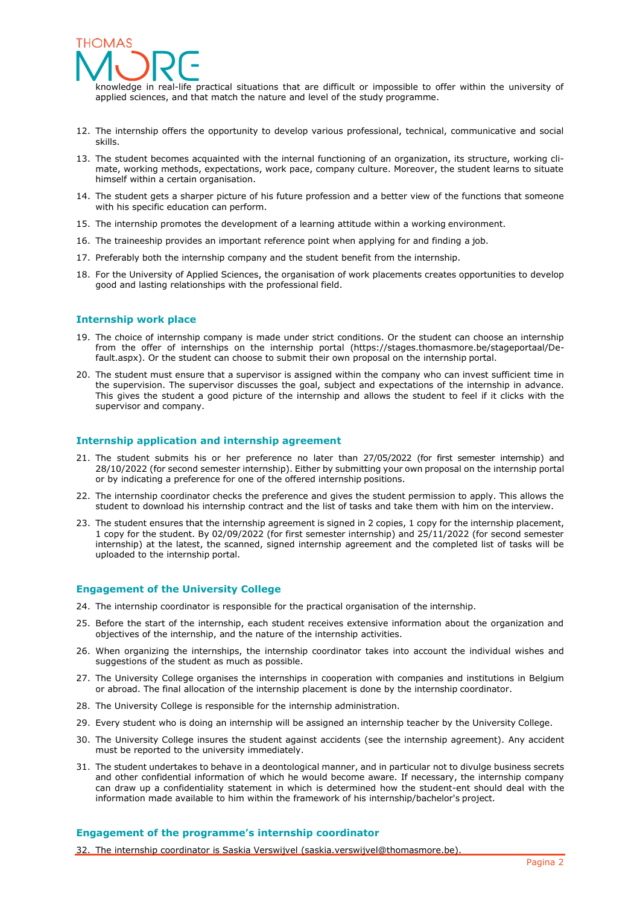

knowledge in real-life practical situations that are difficult or impossible to offer within the university of applied sciences, and that match the nature and level of the study programme.

- 12. The internship offers the opportunity to develop various professional, technical, communicative and social skills.
- 13. The student becomes acquainted with the internal functioning of an organization, its structure, working climate, working methods, expectations, work pace, company culture. Moreover, the student learns to situate himself within a certain organisation.
- 14. The student gets a sharper picture of his future profession and a better view of the functions that someone with his specific education can perform.
- 15. The internship promotes the development of a learning attitude within a working environment.
- 16. The traineeship provides an important reference point when applying for and finding a job.
- 17. Preferably both the internship company and the student benefit from the internship.
- 18. For the University of Applied Sciences, the organisation of work placements creates opportunities to develop good and lasting relationships with the professional field.

#### **Internship work place**

- 19. The choice of internship company is made under strict conditions. Or the student can choose an internship from the offer of internships on the internship portal (https://stages.thomasmore.be/stageportaal/Default.aspx). Or the student can choose to submit their own proposal on the internship portal.
- 20. The student must ensure that a supervisor is assigned within the company who can invest sufficient time in the supervision. The supervisor discusses the goal, subject and expectations of the internship in advance. This gives the student a good picture of the internship and allows the student to feel if it clicks with the supervisor and company.

#### **Internship application and internship agreement**

- 21. The student submits his or her preference no later than 27/05/2022 (for first semester internship) and 28/10/2022 (for second semester internship). Either by submitting your own proposal on the internship portal or by indicating a preference for one of the offered internship positions.
- 22. The internship coordinator checks the preference and gives the student permission to apply. This allows the student to download his internship contract and the list of tasks and take them with him on the interview.
- 23. The student ensures that the internship agreement is signed in 2 copies, 1 copy for the internship placement, 1 copy for the student. By 02/09/2022 (for first semester internship) and 25/11/2022 (for second semester internship) at the latest, the scanned, signed internship agreement and the completed list of tasks will be uploaded to the internship portal.

#### **Engagement of the University College**

- 24. The internship coordinator is responsible for the practical organisation of the internship.
- 25. Before the start of the internship, each student receives extensive information about the organization and objectives of the internship, and the nature of the internship activities.
- 26. When organizing the internships, the internship coordinator takes into account the individual wishes and suggestions of the student as much as possible.
- 27. The University College organises the internships in cooperation with companies and institutions in Belgium or abroad. The final allocation of the internship placement is done by the internship coordinator.
- 28. The University College is responsible for the internship administration.
- 29. Every student who is doing an internship will be assigned an internship teacher by the University College.
- 30. The University College insures the student against accidents (see the internship agreement). Any accident must be reported to the university immediately.
- 31. The student undertakes to behave in a deontological manner, and in particular not to divulge business secrets and other confidential information of which he would become aware. If necessary, the internship company can draw up a confidentiality statement in which is determined how the student-ent should deal with the information made available to him within the framework of his internship/bachelor's project.

#### **Engagement of the programme's internship coordinator**

32. The internship coordinator is Saskia Verswijvel (saskia.verswijvel@thomasmore.be).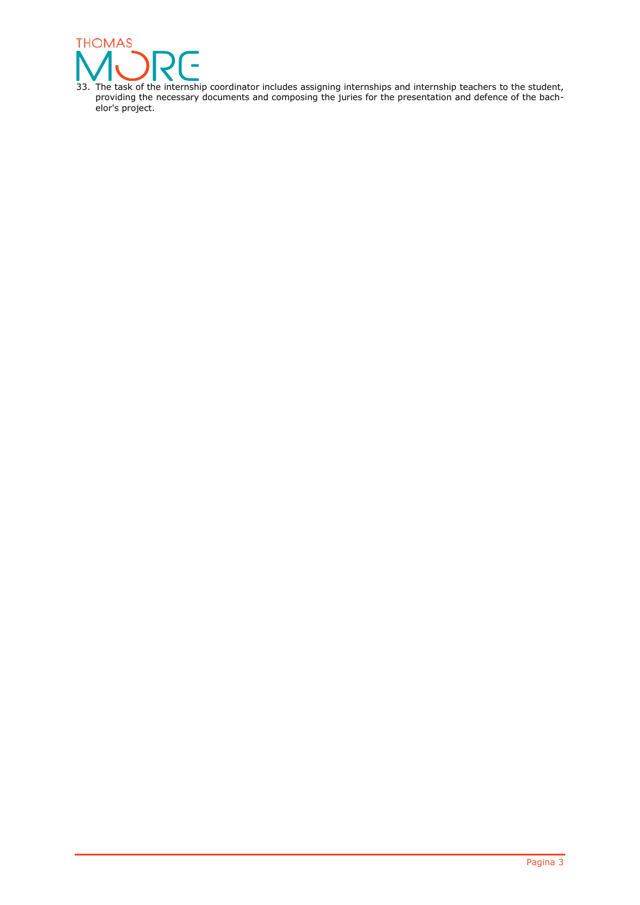

33. The task of the internship coordinator includes assigning internships and internship teachers to the student, providing the necessary documents and composing the juries for the presentation and defence of the bachelor's project.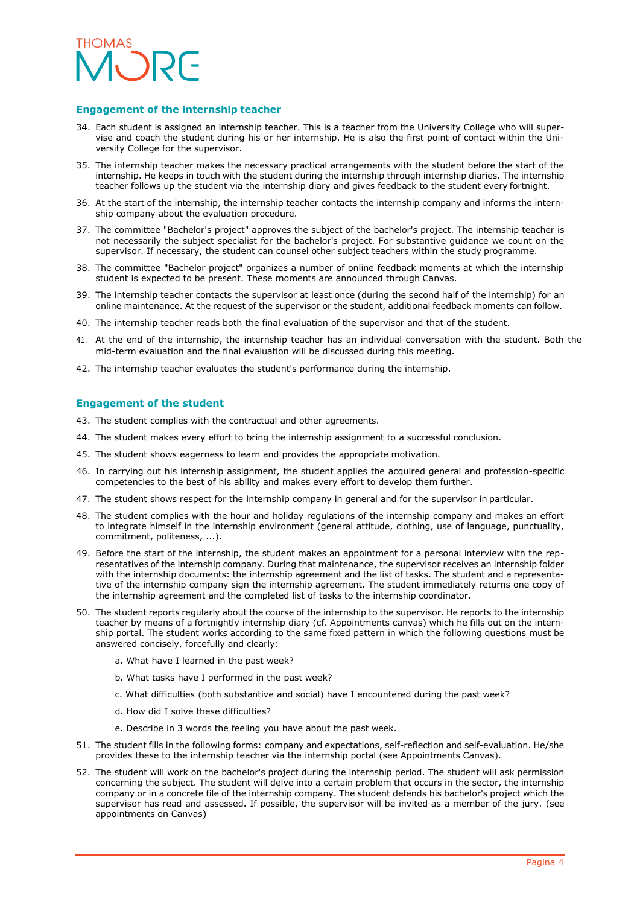

#### **Engagement of the internship teacher**

- 34. Each student is assigned an internship teacher. This is a teacher from the University College who will supervise and coach the student during his or her internship. He is also the first point of contact within the University College for the supervisor.
- 35. The internship teacher makes the necessary practical arrangements with the student before the start of the internship. He keeps in touch with the student during the internship through internship diaries. The internship teacher follows up the student via the internship diary and gives feedback to the student every fortnight.
- 36. At the start of the internship, the internship teacher contacts the internship company and informs the internship company about the evaluation procedure.
- 37. The committee "Bachelor's project" approves the subject of the bachelor's project. The internship teacher is not necessarily the subject specialist for the bachelor's project. For substantive guidance we count on the supervisor. If necessary, the student can counsel other subject teachers within the study programme.
- 38. The committee "Bachelor project" organizes a number of online feedback moments at which the internship student is expected to be present. These moments are announced through Canvas.
- 39. The internship teacher contacts the supervisor at least once (during the second half of the internship) for an online maintenance. At the request of the supervisor or the student, additional feedback moments can follow.
- 40. The internship teacher reads both the final evaluation of the supervisor and that of the student.
- 41. At the end of the internship, the internship teacher has an individual conversation with the student. Both the mid-term evaluation and the final evaluation will be discussed during this meeting.
- 42. The internship teacher evaluates the student's performance during the internship.

#### **Engagement of the student**

- 43. The student complies with the contractual and other agreements.
- 44. The student makes every effort to bring the internship assignment to a successful conclusion.
- 45. The student shows eagerness to learn and provides the appropriate motivation.
- 46. In carrying out his internship assignment, the student applies the acquired general and profession-specific competencies to the best of his ability and makes every effort to develop them further.
- 47. The student shows respect for the internship company in general and for the supervisor in particular.
- 48. The student complies with the hour and holiday regulations of the internship company and makes an effort to integrate himself in the internship environment (general attitude, clothing, use of language, punctuality, commitment, politeness, ...).
- 49. Before the start of the internship, the student makes an appointment for a personal interview with the representatives of the internship company. During that maintenance, the supervisor receives an internship folder with the internship documents: the internship agreement and the list of tasks. The student and a representative of the internship company sign the internship agreement. The student immediately returns one copy of the internship agreement and the completed list of tasks to the internship coordinator.
- 50. The student reports regularly about the course of the internship to the supervisor. He reports to the internship teacher by means of a fortnightly internship diary (cf. Appointments canvas) which he fills out on the internship portal. The student works according to the same fixed pattern in which the following questions must be answered concisely, forcefully and clearly:
	- a. What have I learned in the past week?
	- b. What tasks have I performed in the past week?
	- c. What difficulties (both substantive and social) have I encountered during the past week?
	- d. How did I solve these difficulties?
	- e. Describe in 3 words the feeling you have about the past week.
- 51. The student fills in the following forms: company and expectations, self-reflection and self-evaluation. He/she provides these to the internship teacher via the internship portal (see Appointments Canvas).
- 52. The student will work on the bachelor's project during the internship period. The student will ask permission concerning the subject. The student will delve into a certain problem that occurs in the sector, the internship company or in a concrete file of the internship company. The student defends his bachelor's project which the supervisor has read and assessed. If possible, the supervisor will be invited as a member of the jury. (see appointments on Canvas)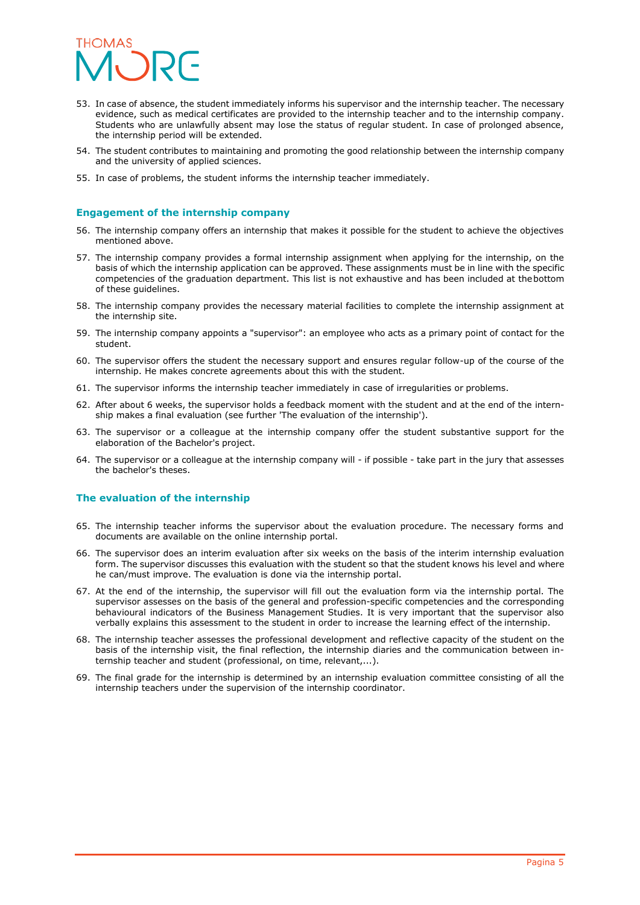

- 53. In case of absence, the student immediately informs his supervisor and the internship teacher. The necessary evidence, such as medical certificates are provided to the internship teacher and to the internship company. Students who are unlawfully absent may lose the status of regular student. In case of prolonged absence, the internship period will be extended.
- 54. The student contributes to maintaining and promoting the good relationship between the internship company and the university of applied sciences.
- 55. In case of problems, the student informs the internship teacher immediately.

#### **Engagement of the internship company**

- 56. The internship company offers an internship that makes it possible for the student to achieve the objectives mentioned above.
- 57. The internship company provides a formal internship assignment when applying for the internship, on the basis of which the internship application can be approved. These assignments must be in line with the specific competencies of the graduation department. This list is not exhaustive and has been included at thebottom of these guidelines.
- 58. The internship company provides the necessary material facilities to complete the internship assignment at the internship site.
- 59. The internship company appoints a "supervisor": an employee who acts as a primary point of contact for the student.
- 60. The supervisor offers the student the necessary support and ensures regular follow-up of the course of the internship. He makes concrete agreements about this with the student.
- 61. The supervisor informs the internship teacher immediately in case of irregularities or problems.
- 62. After about 6 weeks, the supervisor holds a feedback moment with the student and at the end of the internship makes a final evaluation (see further 'The evaluation of the internship').
- 63. The supervisor or a colleague at the internship company offer the student substantive support for the elaboration of the Bachelor's project.
- 64. The supervisor or a colleague at the internship company will if possible take part in the jury that assesses the bachelor's theses.

#### **The evaluation of the internship**

- 65. The internship teacher informs the supervisor about the evaluation procedure. The necessary forms and documents are available on the online internship portal.
- 66. The supervisor does an interim evaluation after six weeks on the basis of the interim internship evaluation form. The supervisor discusses this evaluation with the student so that the student knows his level and where he can/must improve. The evaluation is done via the internship portal.
- 67. At the end of the internship, the supervisor will fill out the evaluation form via the internship portal. The supervisor assesses on the basis of the general and profession-specific competencies and the corresponding behavioural indicators of the Business Management Studies. It is very important that the supervisor also verbally explains this assessment to the student in order to increase the learning effect of the internship.
- 68. The internship teacher assesses the professional development and reflective capacity of the student on the basis of the internship visit, the final reflection, the internship diaries and the communication between internship teacher and student (professional, on time, relevant,...).
- 69. The final grade for the internship is determined by an internship evaluation committee consisting of all the internship teachers under the supervision of the internship coordinator.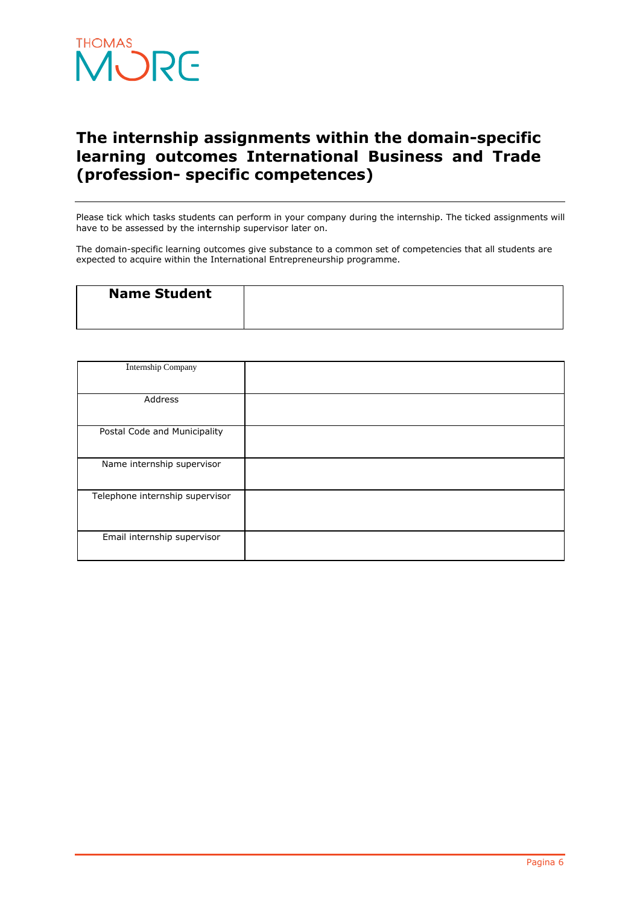

# **The internship assignments within the domain-specific learning outcomes International Business and Trade (profession- specific competences)**

Please tick which tasks students can perform in your company during the internship. The ticked assignments will have to be assessed by the internship supervisor later on.

The domain-specific learning outcomes give substance to a common set of competencies that all students are expected to acquire within the International Entrepreneurship programme.

| <b>Name Student</b> |  |
|---------------------|--|
|                     |  |

| Internship Company              |  |
|---------------------------------|--|
|                                 |  |
| Address                         |  |
| Postal Code and Municipality    |  |
| Name internship supervisor      |  |
| Telephone internship supervisor |  |
| Email internship supervisor     |  |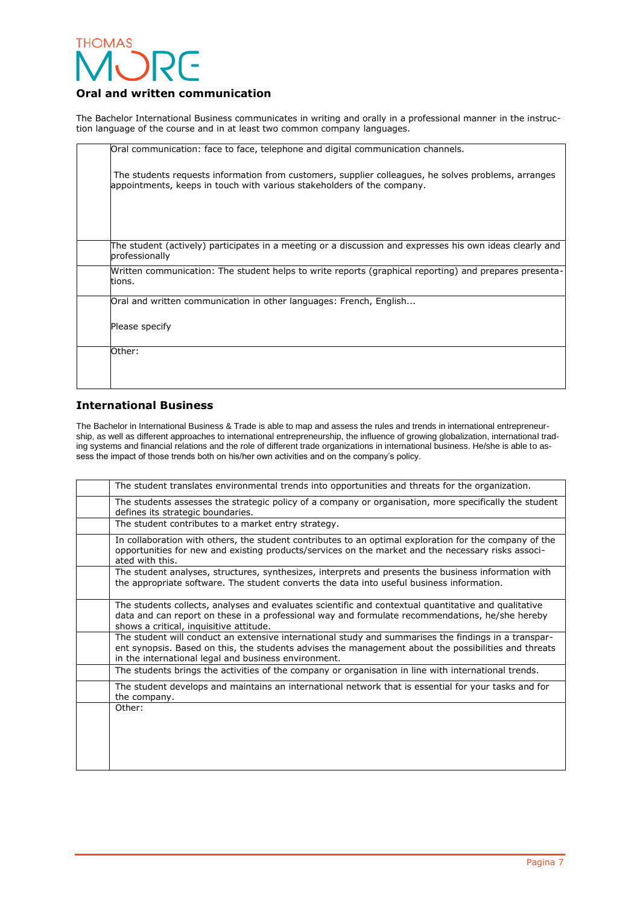

# **Oral and written communication**

The Bachelor International Business communicates in writing and orally in a professional manner in the instruction language of the course and in at least two common company languages.

| Oral communication: face to face, telephone and digital communication channels.                                                                                               |
|-------------------------------------------------------------------------------------------------------------------------------------------------------------------------------|
| The students requests information from customers, supplier colleagues, he solves problems, arranges<br>appointments, keeps in touch with various stakeholders of the company. |
|                                                                                                                                                                               |
| The student (actively) participates in a meeting or a discussion and expresses his own ideas clearly and<br>professionally                                                    |
| Written communication: The student helps to write reports (graphical reporting) and prepares presenta-<br>ltions.                                                             |
| Oral and written communication in other languages: French, English                                                                                                            |
| Please specify                                                                                                                                                                |
| Other:                                                                                                                                                                        |
|                                                                                                                                                                               |

# **International Business**

The Bachelor in International Business & Trade is able to map and assess the rules and trends in international entrepreneurship, as well as different approaches to international entrepreneurship, the influence of growing globalization, international trading systems and financial relations and the role of different trade organizations in international business. He/she is able to assess the impact of those trends both on his/her own activities and on the company's policy.

| The student translates environmental trends into opportunities and threats for the organization.                                                                                                                                                                     |
|----------------------------------------------------------------------------------------------------------------------------------------------------------------------------------------------------------------------------------------------------------------------|
| The students assesses the strategic policy of a company or organisation, more specifically the student<br>defines its strategic boundaries.                                                                                                                          |
| The student contributes to a market entry strategy.                                                                                                                                                                                                                  |
| In collaboration with others, the student contributes to an optimal exploration for the company of the<br>opportunities for new and existing products/services on the market and the necessary risks associ-<br>ated with this.                                      |
| The student analyses, structures, synthesizes, interprets and presents the business information with<br>the appropriate software. The student converts the data into useful business information.                                                                    |
| The students collects, analyses and evaluates scientific and contextual quantitative and qualitative<br>data and can report on these in a professional way and formulate recommendations, he/she hereby<br>shows a critical, inquisitive attitude.                   |
| The student will conduct an extensive international study and summarises the findings in a transpar-<br>ent synopsis. Based on this, the students advises the management about the possibilities and threats<br>in the international legal and business environment. |
| The students brings the activities of the company or organisation in line with international trends.                                                                                                                                                                 |
| The student develops and maintains an international network that is essential for your tasks and for<br>the company.                                                                                                                                                 |
| Other:                                                                                                                                                                                                                                                               |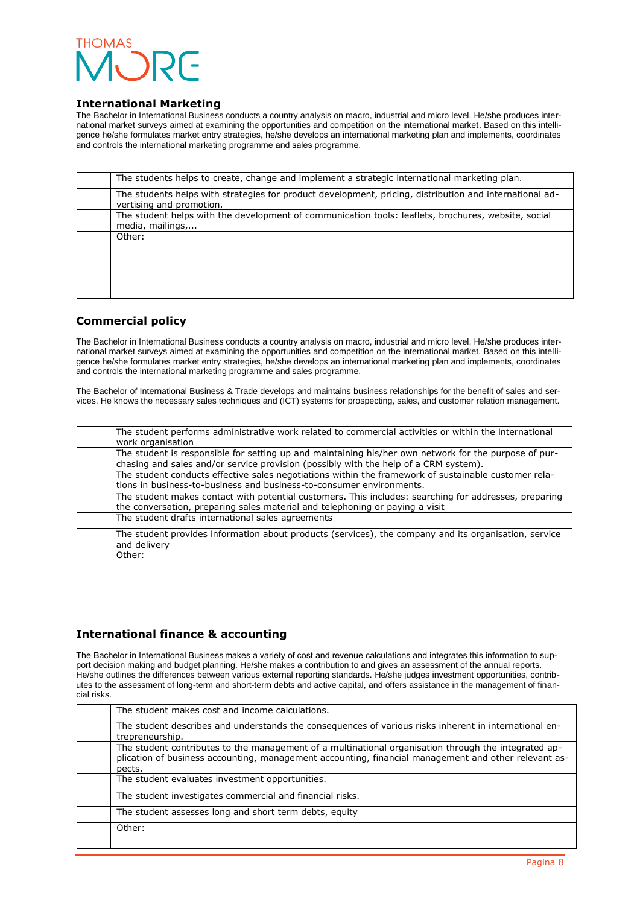

## **International Marketing**

The Bachelor in International Business conducts a country analysis on macro, industrial and micro level. He/she produces international market surveys aimed at examining the opportunities and competition on the international market. Based on this intelligence he/she formulates market entry strategies, he/she develops an international marketing plan and implements, coordinates and controls the international marketing programme and sales programme. 

| The students helps to create, change and implement a strategic international marketing plan.                                        |
|-------------------------------------------------------------------------------------------------------------------------------------|
| The students helps with strategies for product development, pricing, distribution and international ad-<br>vertising and promotion. |
| The student helps with the development of communication tools: leaflets, brochures, website, social<br>media, mailings,             |
| Other:                                                                                                                              |

# **Commercial policy**

The Bachelor in International Business conducts a country analysis on macro, industrial and micro level. He/she produces international market surveys aimed at examining the opportunities and competition on the international market. Based on this intelligence he/she formulates market entry strategies, he/she develops an international marketing plan and implements, coordinates and controls the international marketing programme and sales programme.

The Bachelor of International Business & Trade develops and maintains business relationships for the benefit of sales and services. He knows the necessary sales techniques and (ICT) systems for prospecting, sales, and customer relation management.

| The student performs administrative work related to commercial activities or within the international<br>work organisation                                                                    |
|-----------------------------------------------------------------------------------------------------------------------------------------------------------------------------------------------|
| The student is responsible for setting up and maintaining his/her own network for the purpose of pur-<br>chasing and sales and/or service provision (possibly with the help of a CRM system). |
| The student conducts effective sales negotiations within the framework of sustainable customer rela-<br>tions in business-to-business and business-to-consumer environments.                  |
| The student makes contact with potential customers. This includes: searching for addresses, preparing<br>the conversation, preparing sales material and telephoning or paying a visit         |
| The student drafts international sales agreements                                                                                                                                             |
| The student provides information about products (services), the company and its organisation, service<br>and delivery                                                                         |
| Other:                                                                                                                                                                                        |
|                                                                                                                                                                                               |
|                                                                                                                                                                                               |
|                                                                                                                                                                                               |

# **International finance & accounting**

The Bachelor in International Business makes a variety of cost and revenue calculations and integrates this information to support decision making and budget planning. He/she makes a contribution to and gives an assessment of the annual reports. He/she outlines the differences between various external reporting standards. He/she judges investment opportunities, contributes to the assessment of long-term and short-term debts and active capital, and offers assistance in the management of financial risks.

| The student makes cost and income calculations.                                                                                                                                                                        |
|------------------------------------------------------------------------------------------------------------------------------------------------------------------------------------------------------------------------|
| The student describes and understands the consequences of various risks inherent in international en-<br>trepreneurship.                                                                                               |
| The student contributes to the management of a multinational organisation through the integrated ap-<br>plication of business accounting, management accounting, financial management and other relevant as-<br>pects. |
| The student evaluates investment opportunities.                                                                                                                                                                        |
| The student investigates commercial and financial risks.                                                                                                                                                               |
| The student assesses long and short term debts, equity                                                                                                                                                                 |
| Other:                                                                                                                                                                                                                 |